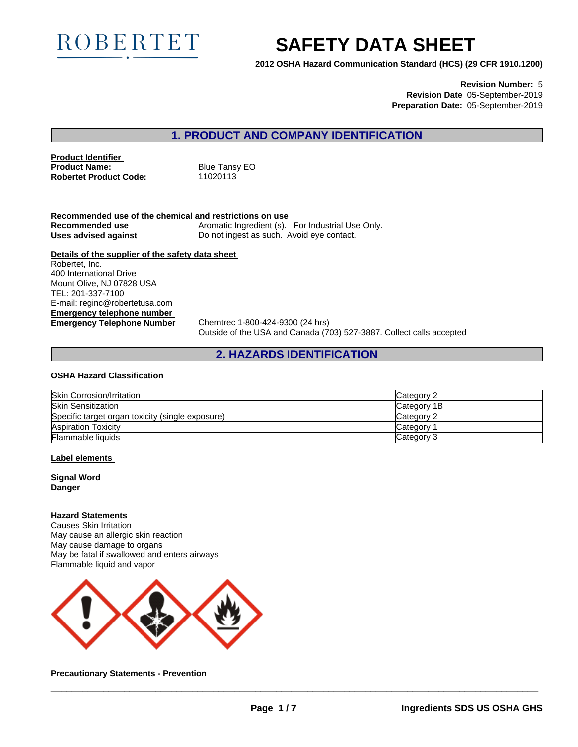

# **SAFETY DATA SHEET**

**2012 OSHA Hazard Communication Standard (HCS) (29 CFR 1910.1200)**

**Revision Number:** 5 **Revision Date** 05-September-2019 **Preparation Date:** 05-September-2019

# **1. PRODUCT AND COMPANY IDENTIFICATION**

**Product Identifier Product Name:** Blue Tansy EO **Robertet Product Code:** 11020113

**Recommended use of the chemical and restrictions on use Recommended use** Aromatic Ingredient (s). For Industrial Use Only.<br>**Uses advised against** Do not ingest as such. Avoid eye contact. Do not ingest as such. Avoid eye contact.

**Details of the supplier of the safety data sheet Emergency telephone number Emergency Telephone Number** Chemtrec 1-800-424-9300 (24 hrs) Robertet, Inc. 400 International Drive Mount Olive, NJ 07828 USA TEL: 201-337-7100 E-mail: reginc@robertetusa.com

Outside of the USA and Canada (703) 527-3887. Collect calls accepted

# **2. HAZARDS IDENTIFICATION**

#### **OSHA Hazard Classification**

| Skin Corrosion/Irritation                        | <b>Category 2</b> |
|--------------------------------------------------|-------------------|
| <b>Skin Sensitization</b>                        | Category 1B       |
| Specific target organ toxicity (single exposure) | Category 2        |
| <b>Aspiration Toxicity</b>                       | Category          |
| <b>Flammable liquids</b>                         | Category 3        |

#### **Label elements**

**Signal Word Danger**

#### **Hazard Statements**

Causes Skin Irritation May cause an allergic skin reaction May cause damage to organs May be fatal if swallowed and enters airways Flammable liquid and vapor



**Precautionary Statements - Prevention**

 $\overline{\phantom{a}}$  ,  $\overline{\phantom{a}}$  ,  $\overline{\phantom{a}}$  ,  $\overline{\phantom{a}}$  ,  $\overline{\phantom{a}}$  ,  $\overline{\phantom{a}}$  ,  $\overline{\phantom{a}}$  ,  $\overline{\phantom{a}}$  ,  $\overline{\phantom{a}}$  ,  $\overline{\phantom{a}}$  ,  $\overline{\phantom{a}}$  ,  $\overline{\phantom{a}}$  ,  $\overline{\phantom{a}}$  ,  $\overline{\phantom{a}}$  ,  $\overline{\phantom{a}}$  ,  $\overline{\phantom{a}}$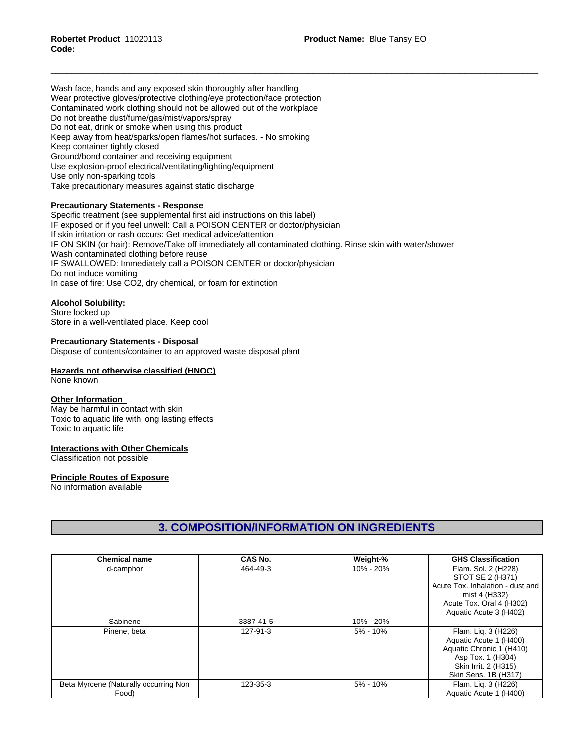Wash face, hands and any exposed skin thoroughly after handling Wear protective gloves/protective clothing/eye protection/face protection Contaminated work clothing should not be allowed out of the workplace Do not breathe dust/fume/gas/mist/vapors/spray Do not eat, drink or smoke when using this product Keep away from heat/sparks/open flames/hot surfaces. - No smoking Keep container tightly closed Ground/bond container and receiving equipment Use explosion-proof electrical/ventilating/lighting/equipment Use only non-sparking tools Take precautionary measures against static discharge

#### **Precautionary Statements - Response**

Specific treatment (see supplemental first aid instructions on this label) IF exposed or if you feel unwell: Call a POISON CENTER or doctor/physician If skin irritation or rash occurs: Get medical advice/attention IF ON SKIN (or hair): Remove/Take off immediately all contaminated clothing. Rinse skin with water/shower Wash contaminated clothing before reuse IF SWALLOWED: Immediately call a POISON CENTER or doctor/physician Do not induce vomiting In case of fire: Use CO2, dry chemical, or foam for extinction

#### **Alcohol Solubility:**

Store locked up Store in a well-ventilated place. Keep cool

### **Precautionary Statements - Disposal**

Dispose of contents/container to an approved waste disposal plant

#### **Hazards not otherwise classified (HNOC)**

None known

#### **Other Information**

May be harmful in contact with skin Toxic to aquatic life with long lasting effects Toxic to aquatic life

#### **Interactions with Other Chemicals**

Classification not possible

#### **Principle Routes of Exposure**

No information available

# **3. COMPOSITION/INFORMATION ON INGREDIENTS**

| <b>Chemical name</b>                  | CAS No.   | Weight-%     | <b>GHS Classification</b>        |
|---------------------------------------|-----------|--------------|----------------------------------|
| d-camphor                             | 464-49-3  | 10% - 20%    | Flam. Sol. 2 (H228)              |
|                                       |           |              | STOT SE 2 (H371)                 |
|                                       |           |              | Acute Tox. Inhalation - dust and |
|                                       |           |              | mist 4 (H332)                    |
|                                       |           |              | Acute Tox. Oral 4 (H302)         |
|                                       |           |              | Aquatic Acute 3 (H402)           |
| Sabinene                              | 3387-41-5 | 10% - 20%    |                                  |
| Pinene, beta                          | 127-91-3  | $5\% - 10\%$ | Flam. Lig. 3 (H226)              |
|                                       |           |              | Aquatic Acute 1 (H400)           |
|                                       |           |              | Aquatic Chronic 1 (H410)         |
|                                       |           |              | Asp Tox. 1 (H304)                |
|                                       |           |              | Skin Irrit. 2 (H315)             |
|                                       |           |              | Skin Sens. 1B (H317)             |
| Beta Myrcene (Naturally occurring Non | 123-35-3  | $5\% - 10\%$ | Flam. Lig. 3 (H226)              |
| Food)                                 |           |              | Aquatic Acute 1 (H400)           |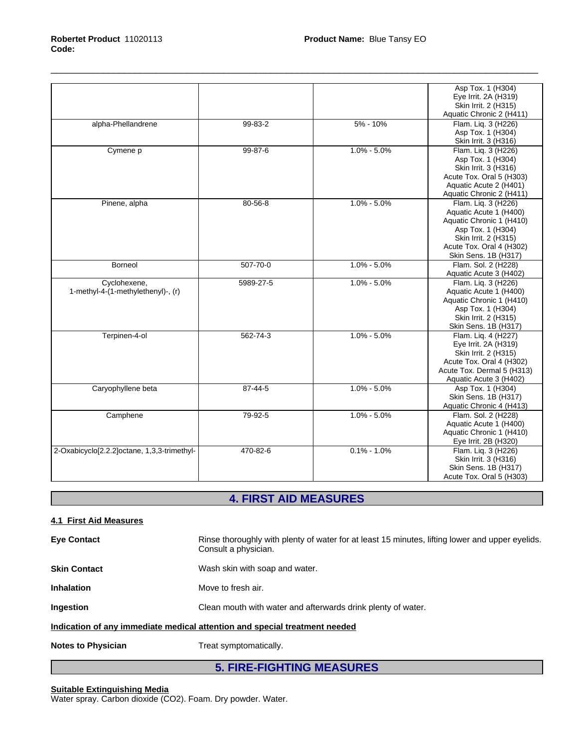|                                                    |                |                 | Asp Tox. 1 (H304)<br>Eye Irrit. 2A (H319)<br>Skin Irrit. 2 (H315)<br>Aquatic Chronic 2 (H411)                                                                              |
|----------------------------------------------------|----------------|-----------------|----------------------------------------------------------------------------------------------------------------------------------------------------------------------------|
| alpha-Phellandrene                                 | 99-83-2        | $5% - 10%$      | Flam. Liq. 3 (H226)<br>Asp Tox. 1 (H304)<br>Skin Irrit. 3 (H316)                                                                                                           |
| Cymene p                                           | 99-87-6        | $1.0\% - 5.0\%$ | Flam. Lig. 3 (H226)<br>Asp Tox. 1 (H304)<br>Skin Irrit. 3 (H316)<br>Acute Tox. Oral 5 (H303)<br>Aquatic Acute 2 (H401)<br>Aquatic Chronic 2 (H411)                         |
| Pinene, alpha                                      | 80-56-8        | $1.0\% - 5.0\%$ | Flam. Liq. 3 (H226)<br>Aquatic Acute 1 (H400)<br>Aquatic Chronic 1 (H410)<br>Asp Tox. 1 (H304)<br>Skin Irrit. 2 (H315)<br>Acute Tox. Oral 4 (H302)<br>Skin Sens. 1B (H317) |
| <b>Borneol</b>                                     | $507 - 70 - 0$ | $1.0\% - 5.0\%$ | Flam. Sol. 2 (H228)<br>Aquatic Acute 3 (H402)                                                                                                                              |
| Cyclohexene,<br>1-methyl-4-(1-methylethenyl)-, (r) | 5989-27-5      | $1.0\% - 5.0\%$ | Flam. Liq. 3 (H226)<br>Aquatic Acute 1 (H400)<br>Aquatic Chronic 1 (H410)<br>Asp Tox. 1 (H304)<br>Skin Irrit. 2 (H315)<br>Skin Sens. 1B (H317)                             |
| Terpinen-4-ol                                      | 562-74-3       | $1.0\% - 5.0\%$ | Flam. Lig. 4 (H227)<br>Eye Irrit. 2A (H319)<br>Skin Irrit. 2 (H315)<br>Acute Tox. Oral 4 (H302)<br>Acute Tox. Dermal 5 (H313)<br>Aquatic Acute 3 (H402)                    |
| Caryophyllene beta                                 | 87-44-5        | $1.0\% - 5.0\%$ | Asp Tox. 1 (H304)<br>Skin Sens. 1B (H317)<br>Aquatic Chronic 4 (H413)                                                                                                      |
| Camphene                                           | 79-92-5        | $1.0\% - 5.0\%$ | Flam. Sol. 2 (H228)<br>Aquatic Acute 1 (H400)<br>Aquatic Chronic 1 (H410)<br>Eye Irrit. 2B (H320)                                                                          |
| 2-Oxabicyclo[2.2.2]octane, 1,3,3-trimethyl-        | 470-82-6       | $0.1\% - 1.0\%$ | Flam. Liq. 3 (H226)<br>Skin Irrit. 3 (H316)<br>Skin Sens. 1B (H317)<br>Acute Tox. Oral 5 (H303)                                                                            |

# **4. FIRST AID MEASURES**

### **4.1 First Aid Measures**

| <b>Eye Contact</b>                                                         | Rinse thoroughly with plenty of water for at least 15 minutes, lifting lower and upper eyelids.<br>Consult a physician. |  |
|----------------------------------------------------------------------------|-------------------------------------------------------------------------------------------------------------------------|--|
| <b>Skin Contact</b>                                                        | Wash skin with soap and water.                                                                                          |  |
| Inhalation                                                                 | Move to fresh air.                                                                                                      |  |
| <b>Ingestion</b>                                                           | Clean mouth with water and afterwards drink plenty of water.                                                            |  |
| Indication of any immediate medical attention and special treatment needed |                                                                                                                         |  |
| <b>Notes to Physician</b>                                                  | Treat symptomatically.                                                                                                  |  |

# **5. FIRE-FIGHTING MEASURES**

#### **Suitable Extinguishing Media**

Water spray. Carbon dioxide (CO2). Foam. Dry powder. Water.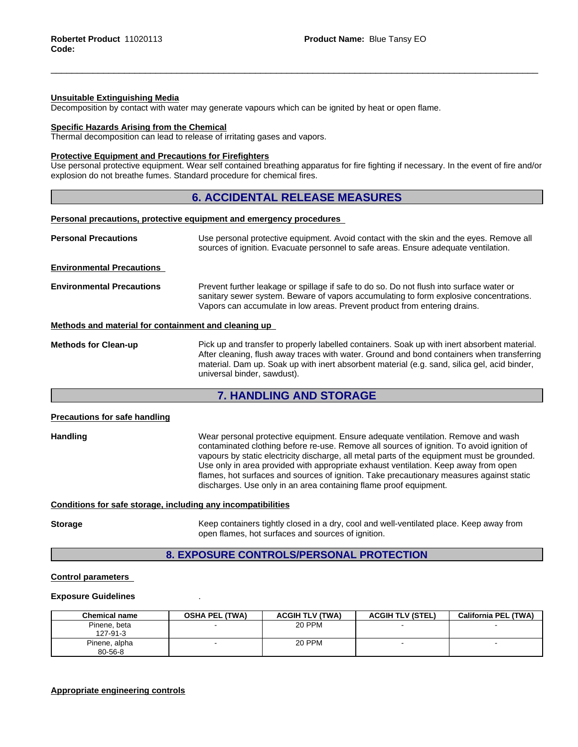#### **Unsuitable Extinguishing Media**

Decomposition by contact with water may generate vapours which can be ignited by heat or open flame.

#### **Specific Hazards Arising from the Chemical**

Thermal decomposition can lead to release of irritating gases and vapors.

#### **Protective Equipment and Precautions for Firefighters**

Use personal protective equipment.Wear self contained breathing apparatus for fire fighting if necessary. In the event of fire and/or explosion do not breathe fumes. Standard procedure for chemical fires.

### **6. ACCIDENTAL RELEASE MEASURES**

#### **Personal precautions, protective equipment and emergency procedures**

| Use personal protective equipment. Avoid contact with the skin and the eyes. Remove all<br>sources of ignition. Evacuate personnel to safe areas. Ensure adequate ventilation.                                                                                                                                            |  |  |
|---------------------------------------------------------------------------------------------------------------------------------------------------------------------------------------------------------------------------------------------------------------------------------------------------------------------------|--|--|
|                                                                                                                                                                                                                                                                                                                           |  |  |
| Prevent further leakage or spillage if safe to do so. Do not flush into surface water or<br>sanitary sewer system. Beware of vapors accumulating to form explosive concentrations.<br>Vapors can accumulate in low areas. Prevent product from entering drains.                                                           |  |  |
| Methods and material for containment and cleaning up                                                                                                                                                                                                                                                                      |  |  |
| Pick up and transfer to properly labelled containers. Soak up with inert absorbent material.<br>After cleaning, flush away traces with water. Ground and bond containers when transferring<br>material. Dam up. Soak up with inert absorbent material (e.g. sand, silica gel, acid binder,<br>universal binder, sawdust). |  |  |
|                                                                                                                                                                                                                                                                                                                           |  |  |

# **7. HANDLING AND STORAGE**

#### **Precautions for safe handling**

**Handling** Wear personal protective equipment.Ensure adequate ventilation. Remove and wash contaminated clothing before re-use. Remove all sources of ignition. To avoid ignition of vapours by static electricity discharge, all metal parts of the equipment must be grounded. Use only in area provided with appropriate exhaust ventilation. Keep away from open flames, hot surfaces and sources of ignition. Take precautionary measures against static discharges. Use only in an area containing flame proof equipment.

#### **Conditions for safe storage, including any incompatibilities**

**Storage** Keep containers tightly closed in a dry, cool and well-ventilated place. Keep away from open flames, hot surfaces and sources of ignition.

### **8. EXPOSURE CONTROLS/PERSONAL PROTECTION**

#### **Control parameters**

#### **Exposure Guidelines** .

| <b>Chemical name</b>           | <b>OSHA PEL (TWA)</b> | <b>ACGIH TLV (TWA)</b> | <b>ACGIH TLV (STEL)</b>  | <b>California PEL (TWA)</b> |
|--------------------------------|-----------------------|------------------------|--------------------------|-----------------------------|
| Pinene, beta<br>127-91-3       |                       | 20 PPM                 |                          |                             |
| Pinene, alpha<br>$80 - 56 - 8$ |                       | 20 PPM                 | $\overline{\phantom{0}}$ |                             |

#### **Appropriate engineering controls**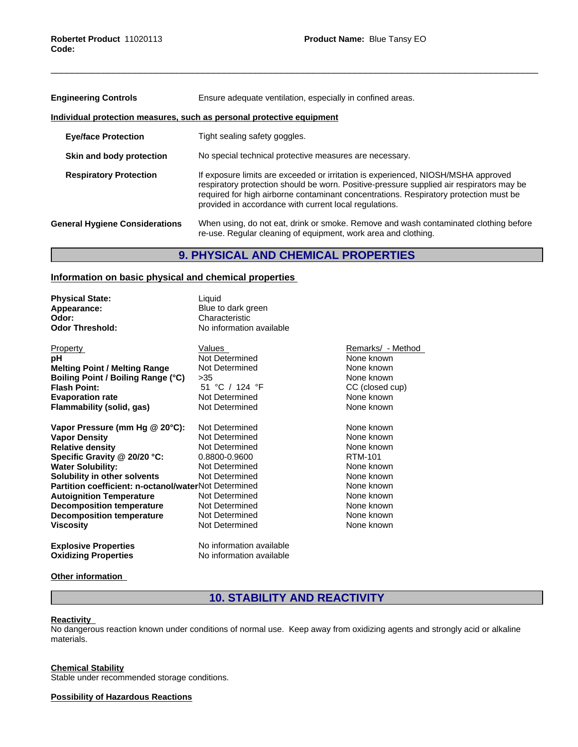| <b>Engineering Controls</b>           | Ensure adequate ventilation, especially in confined areas.                                                                                                                                                                                                                                                                       |  |  |
|---------------------------------------|----------------------------------------------------------------------------------------------------------------------------------------------------------------------------------------------------------------------------------------------------------------------------------------------------------------------------------|--|--|
|                                       | Individual protection measures, such as personal protective equipment                                                                                                                                                                                                                                                            |  |  |
| <b>Eye/face Protection</b>            | Tight sealing safety goggles.                                                                                                                                                                                                                                                                                                    |  |  |
| Skin and body protection              | No special technical protective measures are necessary.                                                                                                                                                                                                                                                                          |  |  |
| <b>Respiratory Protection</b>         | If exposure limits are exceeded or irritation is experienced, NIOSH/MSHA approved<br>respiratory protection should be worn. Positive-pressure supplied air respirators may be<br>required for high airborne contaminant concentrations. Respiratory protection must be<br>provided in accordance with current local regulations. |  |  |
| <b>General Hygiene Considerations</b> | When using, do not eat, drink or smoke. Remove and wash contaminated clothing before<br>re-use. Regular cleaning of equipment, work area and clothing.                                                                                                                                                                           |  |  |

# **9. PHYSICAL AND CHEMICAL PROPERTIES**

# **Information on basic physical and chemical properties**

| <b>Physical State:</b><br>Appearance:<br>Odor:<br><b>Odor Threshold:</b> | Liquid<br>Blue to dark green<br>Characteristic<br>No information available |                   |
|--------------------------------------------------------------------------|----------------------------------------------------------------------------|-------------------|
| Property                                                                 | Values                                                                     | Remarks/ - Method |
| рH                                                                       | Not Determined                                                             | None known        |
| <b>Melting Point / Melting Range</b>                                     | Not Determined                                                             | None known        |
| Boiling Point / Boiling Range (°C)                                       | >35                                                                        | None known        |
| <b>Flash Point:</b>                                                      | 51 °C / 124 °F                                                             | CC (closed cup)   |
| <b>Evaporation rate</b>                                                  | Not Determined                                                             | None known        |
| Flammability (solid, gas)                                                | Not Determined                                                             | None known        |
|                                                                          |                                                                            |                   |
| Vapor Pressure (mm Hg @ 20°C):                                           | Not Determined                                                             | None known        |
| <b>Vapor Density</b>                                                     | Not Determined                                                             | None known        |
| <b>Relative density</b>                                                  | Not Determined                                                             | None known        |
| Specific Gravity @ 20/20 °C:                                             | 0.8800-0.9600                                                              | RTM-101           |
| <b>Water Solubility:</b>                                                 | Not Determined                                                             | None known        |
| Solubility in other solvents                                             | Not Determined                                                             | None known        |
| <b>Partition coefficient: n-octanol/waterNot Determined</b>              |                                                                            | None known        |
| <b>Autoignition Temperature</b>                                          | Not Determined                                                             | None known        |
| <b>Decomposition temperature</b>                                         | Not Determined                                                             | None known        |
| <b>Decomposition temperature</b>                                         | Not Determined                                                             | None known        |
| <b>Viscosity</b>                                                         | Not Determined                                                             | None known        |
| <b>Explosive Properties</b>                                              | No information available                                                   |                   |
| <b>Oxidizing Properties</b>                                              | No information available                                                   |                   |

#### **Other information**

# **10. STABILITY AND REACTIVITY**

#### **Reactivity**

No dangerous reaction known under conditions of normal use. Keep away from oxidizing agents and strongly acid or alkaline materials.

#### **Chemical Stability**

Stable under recommended storage conditions.

**Possibility of Hazardous Reactions**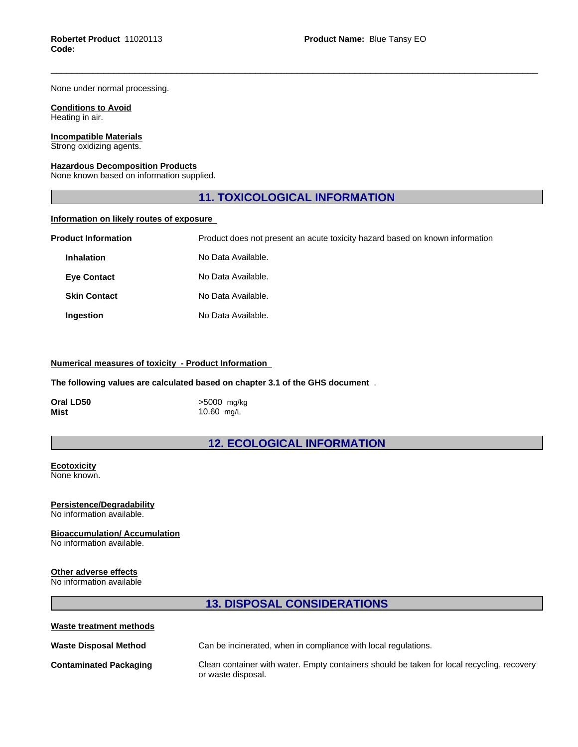None under normal processing.

#### **Conditions to Avoid** Heating in air.

# **Incompatible Materials**

Strong oxidizing agents.

#### **Hazardous Decomposition Products**

None known based on information supplied.

# **11. TOXICOLOGICAL INFORMATION**

#### **Information on likely routes of exposure**

| <b>Product Information</b> | Product does not present an acute toxicity hazard based on known information |
|----------------------------|------------------------------------------------------------------------------|
| <b>Inhalation</b>          | No Data Available.                                                           |
| <b>Eye Contact</b>         | No Data Available.                                                           |
| <b>Skin Contact</b>        | No Data Available.                                                           |
| Ingestion                  | No Data Available.                                                           |

### **Numerical measures of toxicity - Product Information**

**The following values are calculated based on chapter 3.1 of the GHS document** .

| Oral LD50 | >5000 mg/kg |
|-----------|-------------|
| Mist      | 10.60 mg/L  |

**12. ECOLOGICAL INFORMATION**

#### **Ecotoxicity** None known.

### **Persistence/Degradability**

No information available.

### **Bioaccumulation/ Accumulation**

No information available.

#### **Other adverse effects**

No information available

# **13. DISPOSAL CONSIDERATIONS**

| Waste treatment methods       |                                                                                                                  |
|-------------------------------|------------------------------------------------------------------------------------------------------------------|
| <b>Waste Disposal Method</b>  | Can be incinerated, when in compliance with local regulations.                                                   |
| <b>Contaminated Packaging</b> | Clean container with water. Empty containers should be taken for local recycling, recovery<br>or waste disposal. |